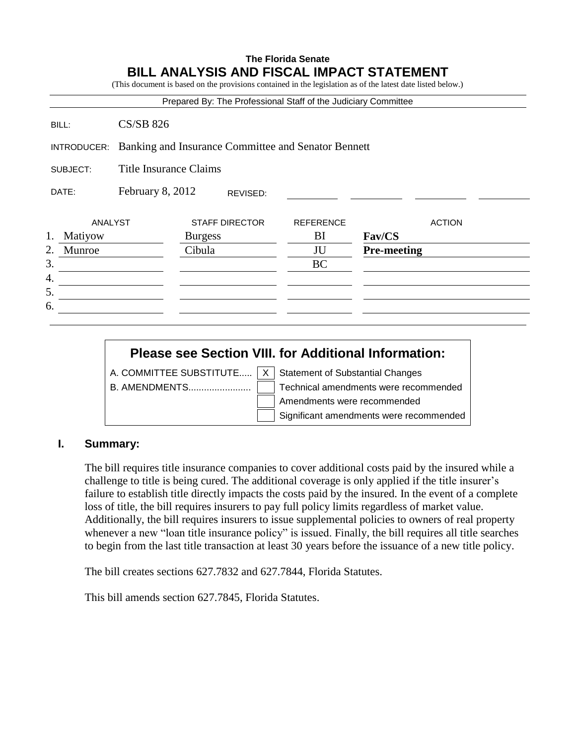## **The Florida Senate BILL ANALYSIS AND FISCAL IMPACT STATEMENT**

(This document is based on the provisions contained in the legislation as of the latest date listed below.)

| Prepared By: The Professional Staff of the Judiciary Committee |  |  |
|----------------------------------------------------------------|--|--|
|----------------------------------------------------------------|--|--|

BILL: CS/SB 826

INTRODUCER: Banking and Insurance Committee and Senator Bennett

SUBJECT: Title Insurance Claims

|          | DATE:              | February 8, 2012 |                | REVISED:              |                        |                    |               |  |
|----------|--------------------|------------------|----------------|-----------------------|------------------------|--------------------|---------------|--|
| 1.       | ANALYST<br>Matiyow |                  | <b>Burgess</b> | <b>STAFF DIRECTOR</b> | <b>REFERENCE</b><br>BI | Fav/CS             | <b>ACTION</b> |  |
| 2.<br>3. | Munroe             |                  | Cibula         |                       | JU<br><b>BC</b>        | <b>Pre-meeting</b> |               |  |
| 4.<br>5. |                    |                  |                |                       |                        |                    |               |  |
| 6.       |                    |                  |                |                       |                        |                    |               |  |

# **Please see Section VIII. for Additional Information:**

|  | A. COMMITTEE SUBSTITUTE $\vert x \vert$ Statement of Substantial Changes |
|--|--------------------------------------------------------------------------|
|  | Technical amendments were recommended                                    |
|  | Amendments were recommended                                              |
|  | Significant amendments were recommended                                  |

## **I. Summary:**

The bill requires title insurance companies to cover additional costs paid by the insured while a challenge to title is being cured. The additional coverage is only applied if the title insurer's failure to establish title directly impacts the costs paid by the insured. In the event of a complete loss of title, the bill requires insurers to pay full policy limits regardless of market value. Additionally, the bill requires insurers to issue supplemental policies to owners of real property whenever a new "loan title insurance policy" is issued. Finally, the bill requires all title searches to begin from the last title transaction at least 30 years before the issuance of a new title policy.

The bill creates sections 627.7832 and 627.7844, Florida Statutes.

This bill amends section 627.7845, Florida Statutes.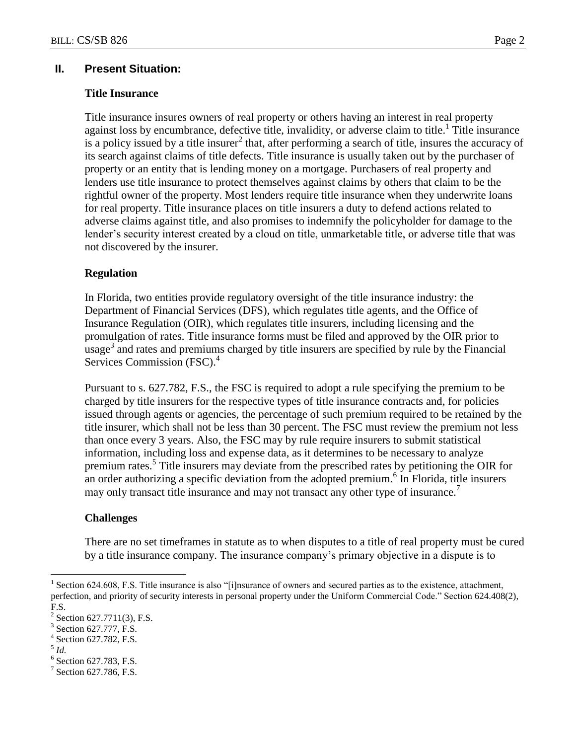### **II. Present Situation:**

#### **Title Insurance**

Title insurance insures owners of real property or others having an interest in real property against loss by encumbrance, defective title, invalidity, or adverse claim to title.<sup>1</sup> Title insurance is a policy issued by a title insurer<sup>2</sup> that, after performing a search of title, insures the accuracy of its search against claims of title defects. Title insurance is usually taken out by the purchaser of property or an entity that is lending money on a mortgage. Purchasers of real property and lenders use title insurance to protect themselves against claims by others that claim to be the rightful owner of the property. Most lenders require title insurance when they underwrite loans for real property. Title insurance places on title insurers a duty to defend actions related to adverse claims against title, and also promises to indemnify the policyholder for damage to the lender's security interest created by a cloud on title, unmarketable title, or adverse title that was not discovered by the insurer.

### **Regulation**

In Florida, two entities provide regulatory oversight of the title insurance industry: the Department of Financial Services (DFS), which regulates title agents, and the Office of Insurance Regulation (OIR), which regulates title insurers, including licensing and the promulgation of rates. Title insurance forms must be filed and approved by the OIR prior to usage<sup>3</sup> and rates and premiums charged by title insurers are specified by rule by the Financial Services Commission (FSC).<sup>4</sup>

Pursuant to s. 627.782, F.S., the FSC is required to adopt a rule specifying the premium to be charged by title insurers for the respective types of title insurance contracts and, for policies issued through agents or agencies, the percentage of such premium required to be retained by the title insurer, which shall not be less than 30 percent. The FSC must review the premium not less than once every 3 years. Also, the FSC may by rule require insurers to submit statistical information, including loss and expense data, as it determines to be necessary to analyze premium rates.<sup>5</sup> Title insurers may deviate from the prescribed rates by petitioning the OIR for an order authorizing a specific deviation from the adopted premium.<sup>6</sup> In Florida, title insurers may only transact title insurance and may not transact any other type of insurance.<sup>7</sup>

### **Challenges**

There are no set timeframes in statute as to when disputes to a title of real property must be cured by a title insurance company. The insurance company"s primary objective in a dispute is to

 $\overline{a}$ 

<sup>1</sup> Section 624.608, F.S. Title insurance is also "[i]nsurance of owners and secured parties as to the existence, attachment, perfection, and priority of security interests in personal property under the Uniform Commercial Code." Section 624.408(2), F.S.

<sup>2</sup> Section 627.7711(3), F.S.

<sup>3</sup> Section 627.777, F.S.

<sup>4</sup> Section 627.782, F.S.

<sup>5</sup> *Id.*

<sup>6</sup> Section 627.783, F.S.

<sup>7</sup> Section 627.786, F.S.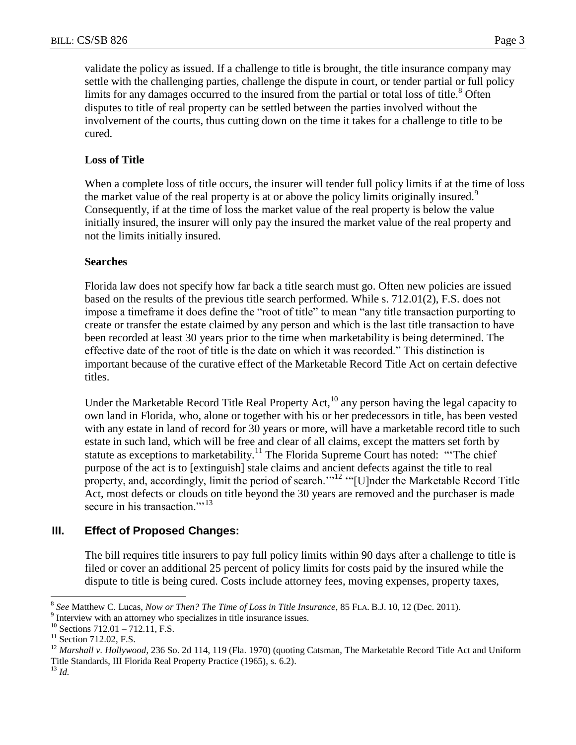validate the policy as issued. If a challenge to title is brought, the title insurance company may settle with the challenging parties, challenge the dispute in court, or tender partial or full policy limits for any damages occurred to the insured from the partial or total loss of title.<sup>8</sup> Often disputes to title of real property can be settled between the parties involved without the involvement of the courts, thus cutting down on the time it takes for a challenge to title to be cured.

## **Loss of Title**

When a complete loss of title occurs, the insurer will tender full policy limits if at the time of loss the market value of the real property is at or above the policy limits originally insured.<sup>9</sup> Consequently, if at the time of loss the market value of the real property is below the value initially insured, the insurer will only pay the insured the market value of the real property and not the limits initially insured.

## **Searches**

Florida law does not specify how far back a title search must go. Often new policies are issued based on the results of the previous title search performed. While s. 712.01(2), F.S. does not impose a timeframe it does define the "root of title" to mean "any title transaction purporting to create or transfer the estate claimed by any person and which is the last title transaction to have been recorded at least 30 years prior to the time when marketability is being determined. The effective date of the root of title is the date on which it was recorded." This distinction is important because of the curative effect of the Marketable Record Title Act on certain defective titles.

Under the Marketable Record Title Real Property Act, $^{10}$  any person having the legal capacity to own land in Florida, who, alone or together with his or her predecessors in title, has been vested with any estate in land of record for 30 years or more, will have a marketable record title to such estate in such land, which will be free and clear of all claims, except the matters set forth by statute as exceptions to marketability.<sup>11</sup> The Florida Supreme Court has noted: "The chief purpose of the act is to [extinguish] stale claims and ancient defects against the title to real property, and, accordingly, limit the period of search."<sup>12</sup> "[U]nder the Marketable Record Title Act, most defects or clouds on title beyond the 30 years are removed and the purchaser is made secure in his transaction."<sup>13</sup>

## **III. Effect of Proposed Changes:**

The bill requires title insurers to pay full policy limits within 90 days after a challenge to title is filed or cover an additional 25 percent of policy limits for costs paid by the insured while the dispute to title is being cured. Costs include attorney fees, moving expenses, property taxes,

<sup>13</sup> *Id.*

 $\overline{a}$ 

<sup>8</sup> *See* Matthew C. Lucas, *Now or Then? The Time of Loss in Title Insurance*, 85 FLA. B.J. 10, 12 (Dec. 2011).

<sup>&</sup>lt;sup>9</sup> Interview with an attorney who specializes in title insurance issues.

 $10$  Sections 712.01 – 712.11, F.S.

 $11$  Section 712.02, F.S.

<sup>&</sup>lt;sup>12</sup> *Marshall v. Hollywood*, 236 So. 2d 114, 119 (Fla. 1970) (quoting Catsman, The Marketable Record Title Act and Uniform Title Standards, III Florida Real Property Practice (1965), s. 6.2).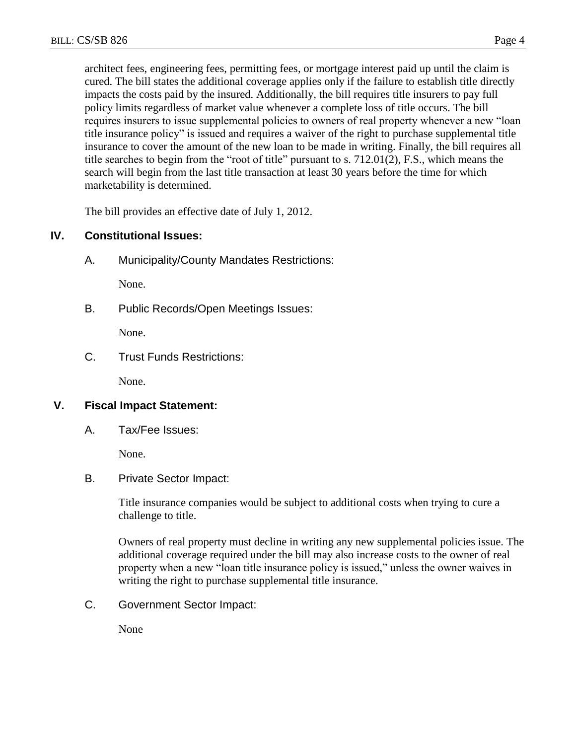architect fees, engineering fees, permitting fees, or mortgage interest paid up until the claim is cured. The bill states the additional coverage applies only if the failure to establish title directly impacts the costs paid by the insured. Additionally, the bill requires title insurers to pay full policy limits regardless of market value whenever a complete loss of title occurs. The bill requires insurers to issue supplemental policies to owners of real property whenever a new "loan title insurance policy" is issued and requires a waiver of the right to purchase supplemental title insurance to cover the amount of the new loan to be made in writing. Finally, the bill requires all title searches to begin from the "root of title" pursuant to s. 712.01(2), F.S., which means the search will begin from the last title transaction at least 30 years before the time for which marketability is determined.

The bill provides an effective date of July 1, 2012.

## **IV. Constitutional Issues:**

A. Municipality/County Mandates Restrictions:

None.

B. Public Records/Open Meetings Issues:

None.

C. Trust Funds Restrictions:

None.

## **V. Fiscal Impact Statement:**

A. Tax/Fee Issues:

None.

### B. Private Sector Impact:

Title insurance companies would be subject to additional costs when trying to cure a challenge to title.

Owners of real property must decline in writing any new supplemental policies issue. The additional coverage required under the bill may also increase costs to the owner of real property when a new "loan title insurance policy is issued," unless the owner waives in writing the right to purchase supplemental title insurance.

C. Government Sector Impact:

None